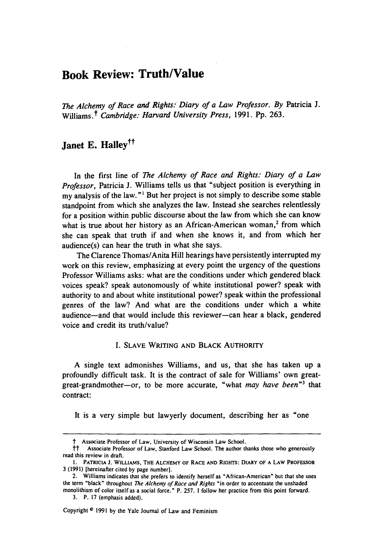# **Book Review: Truth/Value**

*The Alchemy of Race and Rights: Diary of a Law Professor. By* Patricia **J.** Williams.<sup>†</sup> Cambridge: Harvard University Press, 1991. Pp. 263.

# **Janet E. Halleytt**

In the first line of *The Alchemy of Race and Rights: Diary of a Law Professor,* Patricia **J.** Williams tells us that "subject position is everything in my analysis of the law."' But her project is not simply to describe some stable standpoint from which she analyzes the law. Instead she searches relentlessly for a position within public discourse about the law from which she can know what is true about her history as an African-American woman,<sup>2</sup> from which she can speak that truth if and when she knows it, and from which her audience(s) can hear the truth in what she says.

The Clarence Thomas/Anita Hill hearings have persistently interrupted my work on this review, emphasizing at every point the urgency of the questions Professor Williams asks: what are the conditions under which gendered black voices speak? speak autonomously of white institutional power? speak with authority to and about white institutional power? speak within the professional genres of the law? And what are the conditions under which a white audience-and that would include this reviewer-can hear a black, gendered voice and credit its truth/value?

### **I.** SLAVE WRITING AND BLACK AUTHORITY

A single text admonishes Williams, and us, that she has taken up a profoundly difficult task. It is the contract of sale for Williams' own greatgreat-grandmother-or, to be more accurate, "what *may have been"3* that contract:

It is a very simple but lawyerly document, describing her as "one

Copyright © 1991 by the Yale Journal of Law and Feminism

t Associate Professor of Law, University of Wisconsin Law School.

<sup>&</sup>lt;sup>†</sup>† Associate Professor of Law, Stanford Law School. The author thanks those who generously read this review in draft.

**<sup>1.</sup>** PATRICIA **J.** WILLIAMS, THE **ALCHEMY OF** RACE **AND** RIGHTS: DIARY OF **A** LAW PROFESSOR 3 (1991) [hereinafter cited by page number].

<sup>2.</sup> Williams indicates that she prefers **to** identify herself as "African-American" but that she uses the term "black" throughout *The* Alchemy *of Race and Rights* "in order to accentuate the unshaded

monolithism of color itself as a social force." P. 257. 1 follow her practice from this point forward. 3. P. 17 (emphasis added).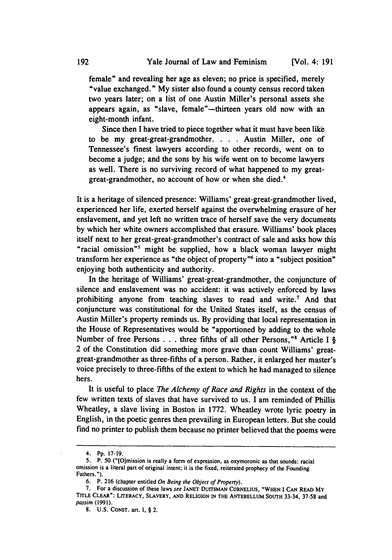female" and revealing her age as eleven; no price is specified, merely "value exchanged." My sister also found a county census record taken two years later; on a list of one Austin Miller's personal assets she appears again, as "slave, female"-thirteen years old now with an eight-month infant.

Since then I have tried to piece together what it must have been like to be my great-great-grandmother. **.** . Austin Miller, one of Tennessee's finest lawyers according to other records, went on to become a judge; and the sons by his wife went on to become lawyers as well. There is no surviving record of what happened to my greatgreat-grandmother, no account of how or when she died.<sup>4</sup>

It is a heritage of silenced presence: Williams' great-great-grandmother lived, experienced her life, exerted herself against the overwhelming erasure of her enslavement, and yet left no written trace of herself save the very documents by which her white owners accomplished that erasure. Williams' book places itself next to her great-great-grandmother's contract of sale and asks how this "racial omission " ' might be supplied, how a black woman lawyer might transform her experience as "the object of property"<sup>6</sup> into a "subject position" enjoying both authenticity and authority.

In the heritage of Williams' great-great-grandmother, the conjuncture of silence and enslavement was no accident: it was actively enforced **by** laws prohibiting anyone from teaching slaves to read and write.7 And that conjuncture was constitutional for the United States itself, as the census of Austin Miller's property reminds us. **By** providing that local representation in the House of Representatives would be "apportioned **by** adding to the whole Number of free Persons . . . three fifths of all other Persons,"<sup>8</sup> Article I  $\S$ 2 of the Constitution did something more grave than count Williams' greatgreat-grandmother as three-fifths of a person. Rather, it enlarged her master's voice precisely to three-fifths of the extent to which he had managed to silence hers.

It is useful to place *The Alchemy of Race and Rights* in the context of the few written texts of slaves that have survived to us. I am reminded of Phillis Wheatley, a slave living in Boston in 1772. Wheatley wrote lyric poetry in English, in the poetic genres then prevailing in European letters. But she could find no printer to publish them because no printer believed that the poems were

<sup>4.</sup> Pp. 17-19.

**<sup>5.</sup>** P. *50* ("[Omission is really a form of expression, as oxymoronic as that sounds: racial omission is a literal part of original intent; it is the fixed, reiterated prophecy of the Founding Fathers.").

<sup>6.</sup> P. 216 (chapter entitled *On Being the Object of Property).*

**<sup>7.</sup>** For a discussion of these laws *see* **JANET** DUITSMAN **CORNELIUS, "WHEN** I **CAN** READ MY **TITLE** CLEAR": LITERACY, SLAVERY, **AND RELIGION IN** THE **ANTEBELLUM SOUTH** 33-34, **37-58** and *passim* **(1991).**

**<sup>8.</sup> U.S. CONST.** art. **I,** § 2.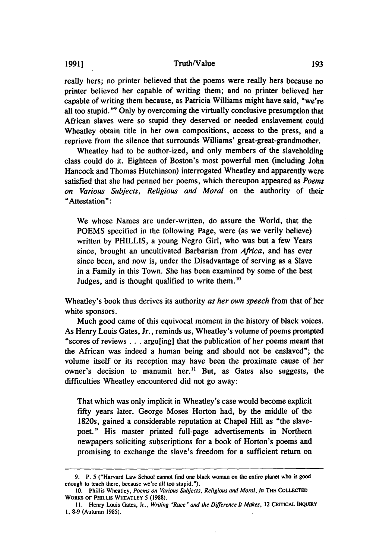### **1991] Truth/Value**

really hers; no printer believed that the poems were really hers because no printer believed her capable of writing them; and no printer believed her capable of writing them because, as Patricia Williams might have said, "we're all too stupid."" Only by overcoming the virtually conclusive presumption that African slaves were so stupid they deserved or needed enslavement could Wheatley obtain title in her own compositions, access to the press, and a reprieve from the silence that surrounds Williams' great-great-grandmother.

Wheatley had to be author-ized, and only members of the slaveholding class could do it. Eighteen of Boston's most powerful men (including John Hancock and Thomas Hutchinson) interrogated Wheatley and apparently were satisfied that she had penned her poems, which thereupon appeared as *Poems on Various Subjects, Religious and Moral* on the authority of their "Attestation":

We whose Names are under-written, do assure the World, that the POEMS specified in the following Page, were (as we verily believe) written by PHILLIS, a young Negro Girl, who was but a few Years since, brought an uncultivated Barbarian from *Africa,* and has ever since been, and now is, under the Disadvantage of serving as a Slave in a Family in this Town. She has been examined by some of the best Judges, and is thought qualified to write them.<sup>10</sup>

Wheatley's book thus derives its authority *as her own speech* from that of her white sponsors.

Much good came of this equivocal moment in the history of black voices. As Henry Louis Gates, Jr., reminds us, Wheatley's volume of poems prompted "scores of reviews... argu[ing] that the publication of her poems meant that the African was indeed a human being and should not be enslaved"; the volume itself or its reception may have been the proximate cause of her owner's decision to manumit her." But, as Gates also suggests, the difficulties Wheatley encountered did not go away:

That which was only implicit in Wheatley's case would become explicit fifty years later. George Moses Horton had, by the middle of the 1820s, gained a considerable reputation at Chapel Hill as "the slavepoet. **"** His master printed full-page advertisements in Northern newpapers soliciting subscriptions for a book of Horton's poems and promising to exchange the slave's freedom for a sufficient return on

**<sup>9.</sup>** P. 5 ("Harvard Law School cannot find one black woman on the entire planet who is good enough to teach there, because we're all too stupid.").

**<sup>10.</sup>** Phillis Wheatley, *Poems on Various Subjects, Religious and Moral, in* THE **COLLECTED WORKS OF PHILLUS WHEATLEY 5 (1988).**

**<sup>11.</sup>** Henry Louis Gates, Jr., *Writing "Race" and the Difference It Makes,* 12 CRITICAL INQUIRY **1, 8-9** (Autumn **1985).**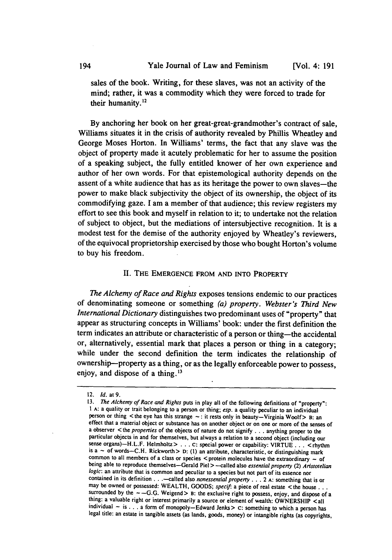sales of the book. Writing, for these slaves, was not an activity of the mind; rather, it was a commodity which they were forced to trade for their humanity.12

**By** anchoring her book on her great-great-grandmother's contract of sale, Williams situates it in the crisis of authority revealed **by** Phillis Wheatley and George Moses Horton. In Williams' terms, the fact that any slave was the object of property made it acutely problematic for her to assume the position of a speaking subject, the fully entitled knower of her own experience and author of her own words. For that epistemological authority depends on the assent of a white audience that has as its heritage the power to own slaves-the power to make black subjectivity the object of its ownership, the object of its commodifying gaze. **I** am a member of that audience; this review registers my effort to see this book and myself in relation to it; to undertake not the relation of subject to object, but the mediations of intersubjective recognition. It is a modest test for the demise of the authority enjoyed **by** Wheatley's reviewers, of the equivocal proprietorship exercised **by** those who bought Horton's volume to buy his freedom.

# **II.** THE **EMERGENCE** FROM **AND INTO** PROPERTY

*The Alchemy of Race and Rights* exposes tensions endemic to our practices of denominating someone or something *(a) property. Webster's Third New International Dictionary* distinguishes two predominant uses of "property" that appear as structuring concepts in Williams' book: under the first definition the term indicates an attribute or characteristic of a person or thing-the accidental or, alternatively, essential mark that places a person or thing in a category; while under the second definition the term indicates the relationship of ownership-property as a thing, or as the legally enforceable power to possess, enjoy, and dispose of a thing.<sup>13</sup>

<sup>12.</sup> Id. at **9.**

**<sup>13.</sup>** *The Alchemy of Race and Rights* puts in play all of the following definitions of "property": 1 A: a quality or trait belonging to a person or thing; esp. a quality peculiar to an individual person or thing  $\lt$  the effect that a material object or substance has on another object or on one or more of the senses of a observer  $\le$  the *properties* of the objects of nature do not signify . . . anything proper to the particular objects sense organs)—H.L.F. Helmholtz > . . . C: special power or capability: VIRTUE . . . < rhythm is a ~ of words—C.H. Rickworth > D: (1) an attribute, characteristic, or distinguishing mark common to all members of a class or being able to reproduce themselves-Gerald Piel > -called also essential property (2) Aristotelian *logic:* an attribute that is common and peculiar to a species but not part of its essence nor contained in its definition **. .** .- called also nonessential property **...** 2 **A:** something that is or may be owned or possessed: WEALTH, GOODS; *specif*: a piece of real estate < the house... surrounded by the  $\sim$  --G.G. Weigend > B: the exclusive right to possess, enjoy, and dispose of a thing: a valuable right or interest primarily a source or element of wealth: OWNERSHIP <all individual **-** is **. . .** a form of monopoly-Edward Jenks> **C:** something to which a person has legal title: an estate in tangible assets (as lands, goods, money) or intangible rights (as copyrights,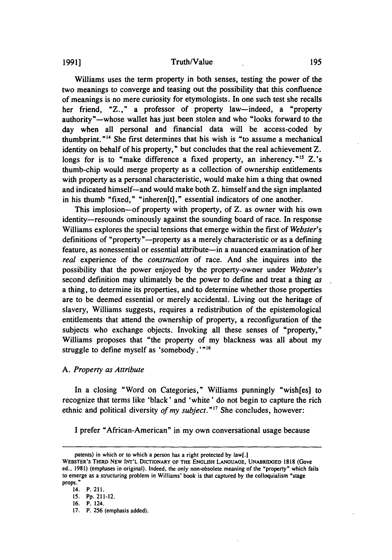#### Truth/Value

Williams uses the term property in both senses, testing the power of the two meanings to converge and teasing out the possibility that this confluence of meanings is no mere curiosity for etymologists. In one such test she recalls her friend, "Z.," a professor of property law-indeed, a "property authority"-whose wallet has just been stolen and who "looks forward to the day when all personal and financial data will be access-coded by thumbprint."" She first determines that his wish is "to assume a mechanical identity on behalf of his property," but concludes that the real achievement Z. longs for is to "make difference a fixed property, an inherency."<sup>15</sup> Z.'s thumb-chip would merge property as a collection of ownership entitlements with property as a personal characteristic, would make him a thing that owned and indicated himself-and would make both Z. himself and the sign implanted in his thumb "fixed," "inheren[t]," essential indicators of one another.

This implosion-of property with property, of Z. as owner with his own identity-resounds ominously against the sounding board of race. In response Williams explores the special tensions that emerge within the first of *Webster's* definitions of "property"-property as a merely characteristic or as a defining feature, as nonessential or essential attribute-in a nuanced examination of her *real* experience of the *construction* of race. And she inquires into the possibility that the power enjoyed by the property-owner under *Webster's* second definition may ultimately be the power to define and treat a thing *as* a thing, to determine its properties, and to determine whether those properties are to be deemed essential or merely accidental. Living out the heritage of slavery, Williams suggests, requires a redistribution of the epistemological entitlements that attend the ownership of property, a reconfiguration of the subjects who exchange objects. Invoking all these senses of "property," Williams proposes that "the property of my blackness was all about my struggle to define myself as 'somebody.'"<sup>16</sup>

#### *A. Property as Attribute*

In a closing "Word on Categories," Williams punningly "wish[es] to recognize that terms like 'black' and 'white' do not begin to capture the rich ethnic and political diversity *of my subject."17* She concludes, however:

I prefer "African-American" in my own conversational usage because

**1991]**

patents) in which or to which a person has a right protected by law[.J

WEBSTER'S THIRD NEW **INT'L** DICTIONARY OF THE **ENGLISH LANGUAGE,** UNABRIDGED **1818 (Gove** ed., **1981)** (emphases in original). Indeed, the only non-obsolete meaning of the "property" which fails to emerge as a structuring problem in Williams' book is that captured **by** the colloquialism "stage props. **"**

**<sup>14.</sup>** P. **211.**

*<sup>15.</sup>* **Pp.** 211-12.

**<sup>16.</sup>** P. 124.

**<sup>17.</sup>** P. **256** (emphasis added).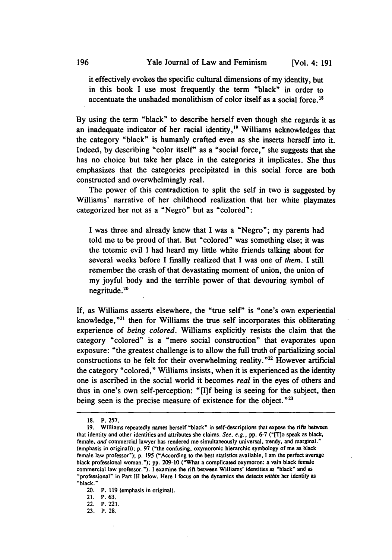it effectively evokes the specific cultural dimensions of my identity, but in this book I use most frequently the term "black" in order to accentuate the unshaded monolithism of color itself as a social force.<sup>18</sup>

**By** using the term "black" to describe herself even though she regards it as an inadequate indicator of her racial identity, $19$  Williams acknowledges that the category "black" is humanly crafted even as she inserts herself into it. Indeed, **by** describing "color **itself"** as a "social force," she suggests that she has no choice but take her place in the categories it implicates. She thus emphasizes that the categories precipitated in this social force are both constructed and overwhelmingly real.

The power of this contradiction to split the self in two is suggested **by** Williams' narrative of her childhood realization that her white playmates categorized her not as a "Negro" but as "colored":

**I** was three and already knew that **I** was a "Negro"; my parents had told me to be proud of that. But "colored" was something else; it was the totemic evil **I** had heard my little white friends talking about for several weeks before **I** finally realized that **I** was one of *them.* **I** still remember the crash of that devastating moment of union, the union of my joyful body and the terrible power of that devouring symbol of negritude.

If, as Williams asserts elsewhere, the "true self" is "one's own experiential knowledge, $z^{21}$  then for Williams the true self incorporates this obliterating experience of *being colored.* Williams explicitly resists the claim that the category "colored" is a "mere social construction" that evaporates upon exposure: "the greatest challenge is to allow the full truth of partializing social constructions to be felt for their overwhelming reality."<sup>22</sup> However artificial the category "colored," Williams insists, when it is experienced as the identity one is ascribed in the social world it becomes *real* in the eyes of others and thus in one's own self-perception: "[Ilf being is seeing for the subject, then being seen is the precise measure of existence for the object."<sup>23</sup>

<sup>18.</sup> **P.** 257.

**<sup>19.</sup>** Williams repeatedly names herself "black" in self-descriptions that expose the rifts between that identity and other identities and attributes she claims. See, e.g., **pp. 6-7** ("[T]o speak as black, female, and commercial lawyer has rendered me simultaneously universal, trendy, and marginal." (emphasis in original)); **p. 97** ("the confusing, oxymoronic hierarchic symbology of me as black female law professor"); **p. 195** ("According to the best statistics available, **I** am the perfect average black professional woman."); **pp. 209-10** ("What a complicated oxymoron: a vain black female commercial law professor."). **I** examine the rift between Williams' identities as "black" and as "professional" in Part **Ill** below. Here **I** focus on the dynamics she detects *within* her identity as "black."

<sup>20.</sup> P. **119** (emphasis in original).

**<sup>21.</sup>** P. **63.**

<sup>22.</sup> P. 221.

**<sup>23.</sup>** P. **28.**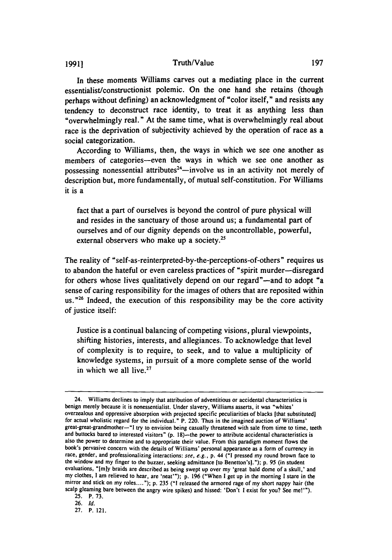## **1991]** Truth/Value

In these moments Williams carves out a mediating place in the current essentialist/constructionist polemic. On the one hand she retains (though perhaps without defining) an acknowledgment of "color itself," and resists any tendency to deconstruct race identity, to treat it as anything less than "overwhelmingly real." At the same time, what is overwhelmingly real about race is the deprivation of subjectivity achieved by the operation of race as a social categorization.

According to Williams, then, the ways in which we see one another as members of categories-even the ways in which we see one another as possessing nonessential attributes<sup>24</sup>—involve us in an activity not merely of description but, more fundamentally, of mutual self-constitution. For Williams it is a

fact that a part of ourselves is beyond the control of pure physical will and resides in the sanctuary of those around us; a fundamental part of ourselves and of our dignity depends on the uncontrollable, powerful, external observers who make up a society.<sup>25</sup>

The reality of "self-as-reinterpreted-by-the-perceptions-of-others" requires us to abandon the hateful or even careless practices of "spirit murder-disregard for others whose lives qualitatively depend on our regard"—and to adopt "a sense of caring responsibility for the images of others that are reposited within us."<sup>26</sup> Indeed, the execution of this responsibility may be the core activity of justice itself:

Justice is a continual balancing of competing visions, plural viewpoints, shifting histories, interests, and allegiances. To acknowledge that level of complexity is to require, to seek, and to value a multiplicity of knowledge systems, in pursuit of a more complete sense of the world in which we all live.

<sup>24.</sup> Williams declines to imply that attribution of adventitious or accidental characteristics is benign merely because it is nonessentialist. Under slavery, Williams asserts, it was "whites' overzealous and oppressive absorption with projected specific peculiarities of blacks [that substituted] for actual wholistic regard for the individual." P. 220. Thus in the imagined auction of Williams' great-great-grandmother-"l try to envision being casually threatened with sale from time to time, teeth and buttocks bared to interested visitors" (p. 18)-the power to attribute accidental characteristics is also the power to determine and to appropriate their value. From this paradigm moment flows the book's pervasive concern with the details of Williams' personal appearance as a form of currency in race, gender, and professionalizing interactions: see, e.g., **p.** 44 **("i** pressed my round brown face to the window and my finger to the buzzer, seeking admittance Ito Benetton's]."); **p.** 95 (in student evaluations, "Imly braids are described as being swept up over my 'great bald dome of a skull,' and my clothes, **I** am relieved to hear, are 'neat'"); **p.** 196 ("When **I** get up in the morning I stare in the mirror and stick on my roles...."); p. 235 **("1** released the armored rage of my short nappy hair (the scalp gleaming bare between the angry wire spikes) and hissed: 'Don't I exist for you? See me!'").

**<sup>25.</sup>** P. 73.

<sup>26.</sup> *Id.*

<sup>27.</sup> P. 121.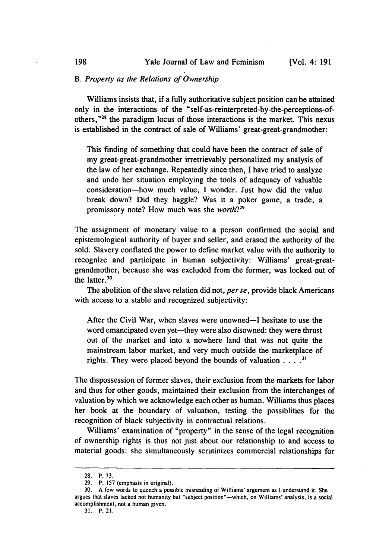# *B. Property as the Relations of Ownership*

Williams insists that, if a fully authoritative subject position can be attained only in the interactions of the "self-as-reinterpreted-by-the-perceptions-ofothers,"<sup>28</sup> the paradigm locus of those interactions is the market. This nexus is established in the contract of sale of Williams' great-great-grandmother:

This finding of something that could have been the contract of sale of my great-great-grandmother irretrievably personalized my analysis of the law of her exchange. Repeatedly since then, I have tried to analyze and undo her situation employing the tools of adequacy of valuable consideration-how much value, I wonder. Just how did the value break down? Did they haggle? Was it a poker game, a trade, a promissory note? How much was she *worth?29*

The assignment of monetary value to a person confirmed the social and epistemological authority of buyer and seller, and erased the authority of the sold. Slavery conflated the power to define market value with the authority to recognize and participate in human subjectivity: Williams' great-greatgrandmother, because she was excluded from the former, was locked out of the latter.<sup>30</sup>

The abolition of the slave relation did not, *per se,* provide black Americans with access to a stable and recognized subjectivity:

After the Civil War, when slaves were unowned-I hesitate to use the word emancipated even yet-they were also disowned: they were thrust out of the market and into a nowhere land that was not quite the mainstream labor market, and very much outside the marketplace of rights. They were placed beyond the bounds of valuation . ... **.**

The dispossession of former slaves, their exclusion from the markets for labor and thus for other goods, maintained their exclusion from the interchanges of valuation by which we acknowledge. each other as human. Williams thus places her book at the boundary of valuation, testing the possiblities for the recognition of black subjectivity in contractual relations.

Williams' examination of "property" in the sense of the legal recognition of ownership rights is thus not just about our relationship to and access to material goods: she simultaneously scrutinizes commercial relationships for

<sup>28.</sup> P. 73.

<sup>29.</sup> P. 157 (emphasis in original).

**<sup>30.</sup> A** few words to quench a possible misreading of Williams' argument as **I** understand it. She argues that slaves lacked not humanity but "subject position"-which, on Williams' analysis, is a social accomplishment, not a human given.

<sup>31.</sup> P. 21.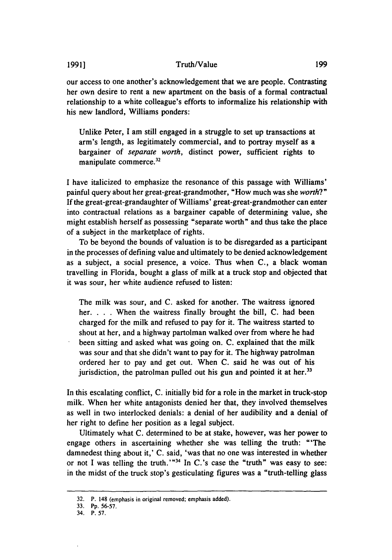### Truth/Value

our access to one another's acknowledgement that we are people. Contrasting her own desire to rent a new apartment on the basis of a formal contractual relationship to a white colleague's efforts to informalize his relationship with his new landlord, Williams ponders:

Unlike Peter, I am still engaged in a struggle to set up transactions at arm's length, as legitimately commercial, and to portray myself as a bargainer of *separate worth,* distinct power, sufficient rights to manipulate commerce.<sup>32</sup>

I have italicized to emphasize the resonance of this passage with Williams' painful query about her great-great-grandmother, "How much was she *worth?"* If the great-great-grandaughter of Williams' great-great-grandmother can enter into contractual relations as a bargainer capable of determining value, she might establish herself as possessing "separate worth" and thus take the place of a subject in the marketplace of rights.

To be beyond the bounds of valuation is to be disregarded as a participant in the processes of defining value and ultimately to be denied acknowledgement as a subject, a social presence, a voice. Thus when C., a black woman travelling in Florida, bought a glass of milk at a truck stop and objected that it was sour, her white audience refused to listen:

The milk was sour, and C. asked for another. The waitress ignored her. . . . When the waitress finally brought the bill, C. had been charged for the milk and refused to pay for it. The waitress started to shout at her, and a highway partolman walked over from where he had been sitting and asked what was going on. C. explained that the milk was sour and that she didn't want to pay for it. The highway patrolman ordered her to pay and get out. When C. said he was out of his jurisdiction, the patrolman pulled out his gun and pointed it at her.<sup>33</sup>

In this escalating conflict, C. initially bid for a role in the market in truck-stop milk. When her white antagonists denied her that, they involved themselves as well in two interlocked denials: a denial of her audibility and a denial of her right to define her position as a legal subject.

Ultimately what C. determined to be at stake, however, was her power to engage others in ascertaining whether she was telling the truth: "'The damnedest thing about it,' C. said, 'was that no one was interested in whether or not I was telling the truth.'"<sup>34</sup> In C.'s case the "truth" was easy to see: in the midst of the truck stop's gesticulating figures was a "truth-telling glass

<sup>32.</sup> P. 148 (emphasis in original removed; emphasis added).

<sup>33.</sup> Pp. 56-57.

<sup>34.</sup> P. 57.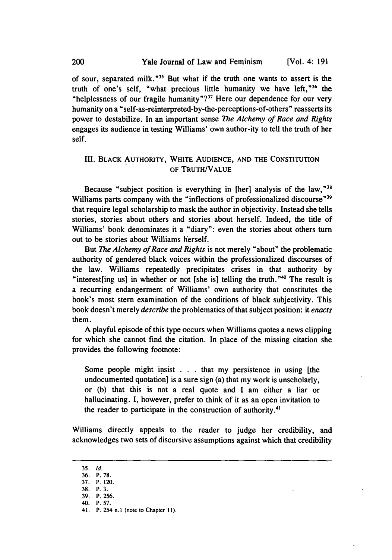of sour, separated milk."<sup>35</sup> But what if the truth one wants to assert is the truth of one's self, "what precious little humanity we have left,"36 the "helplessness of our fragile humanity"?<sup>37</sup> Here our dependence for our very humanity on a "self-as-reinterpreted-by-the-perceptions-of-others" reasserts its power to destabilize. In an important sense *The Alchemy of Race and Rights* engages its audience in testing Williams' own author-ity to tell the truth of her self.

# III. BLACK AUTHORITY, WHITE AUDIENCE, AND THE CONSTITUTION OF TRUTH/VALUE

Because "subject position is everything in [her] analysis of the law,"<sup>31</sup> Williams parts company with the "inflections of professionalized discourse"<sup>39</sup> that require legal scholarship to mask the author in objectivity. Instead she tells stories, stories about others and stories about herself. Indeed, the title of Williams' book denominates it a "diary": even the stories about others turn out to be stories about Williams herself.

But *The Alchemy of Race and Rights* is not merely "about" the problematic authority of gendered black voices within the professionalized discourses of the law. Williams repeatedly precipitates crises in that authority by "interest [ing us] in whether or not [she is] telling the truth." $40$  The result is a recurring endangerment of Williams' own authority that constitutes the book's most stern examination of the conditions of black subjectivity. This book doesn't merely *describe* the problematics of that subject position: it *enacts* them.

A playful episode of this type occurs when Williams quotes a news clipping for which she cannot find the citation. In place of the missing citation she provides the following footnote:

Some people might insist . . . that my persistence in using [the undocumented quotation] is a sure sign (a) that my work is unscholarly, or (b) that this is not a real quote and I am either a liar or hallucinating. I, however, prefer to think of it as an open invitation to the reader to participate in the construction of authority.<sup>41</sup>

Williams directly appeals to the reader to judge her credibility, and acknowledges two sets of discursive assumptions against which that credibility

<sup>35.</sup> **Id.**

<sup>36.</sup> P. **78.**

<sup>37.</sup> P. 120.

**<sup>38.</sup>** P. 3. **39.** P. **256.**

<sup>40.</sup> **P. 57.**

<sup>41.</sup> P. 254 **n.I** (note to Chapter **11).**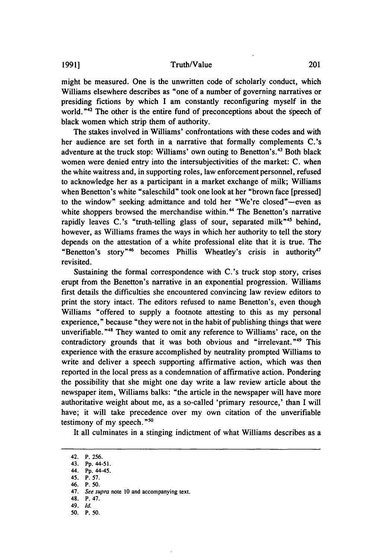might be measured. One is the unwritten code of scholarly conduct, which Williams elsewhere describes as "one of a number of governing narratives or presiding fictions by which I am constantly reconfiguring myself in the world. **"42** The other is the entire fund of preconceptions about the speech of black women which strip them of authority.

The stakes involved in Williams' confrontations with these codes and with her audience are set forth in a narrative that formally complements C.'s adventure at the truck stop: Williams' own outing to Benetton's.<sup>43</sup> Both black women were denied entry into the intersubjectivities of the market: C. when the white waitress and, in supporting roles, law enforcement personnel, refused to acknowledge her as a participant in a market exchange of milk; Williams when Benetton's white "saleschild" took one look at her "brown face [pressed] to the window" seeking admittance and told her "We're closed"-even as white shoppers browsed the merchandise within.<sup>44</sup> The Benetton's narrative rapidly leaves C.'s "truth-telling glass of sour, separated milk"<sup>45</sup> behind, however, as Williams frames the ways in which her authority to tell the story depends on the attestation of a white professional elite that it is true. The "Benetton's story"<sup>46</sup> becomes Phillis Wheatley's crisis in authority<sup>47</sup> revisited.

Sustaining the formal correspondence with C.'s truck stop story, crises erupt from the Benetton's narrative in an exponential progression. Williams first details the difficulties she encountered convincing law review editors to print the story intact. The editors refused to name Benetton's, even though Williams "offered to supply a footnote attesting to this as my personal experience," because "they were not in the habit of publishing things that were unverifiable.<sup> $n_{48}$ </sup> They wanted to omit any reference to Williams' race, on the contradictory grounds that it was both obvious and "irrelevant."<sup>49</sup> This experience with the erasure accomplished by neutrality prompted Williams to write and deliver a speech supporting affirmative action, which was then reported in the local press as a condemnation of affirmative action. Pondering the possibility that she might one day write a law review article about the newspaper item, Williams balks: "the article in the newspaper will have more authoritative weight about me, as a so-called 'primary resource,' than I will have; it will take precedence over my own citation of the unverifiable testimony of my speech.<sup>"50</sup>

It all culminates in a stinging indictment of what Williams describes as a

45. P. 57.

<sup>42.</sup> P. 256.

<sup>43.</sup> **Pp.** 44-51.

<sup>44.</sup> **Pp.** 44-45.

<sup>46.</sup> P. 50.

<sup>47.</sup> *See supra* note 10 and accompanying text.

<sup>48.</sup> P. 47.

<sup>49.</sup> *Id.*

<sup>50.</sup> P. 50.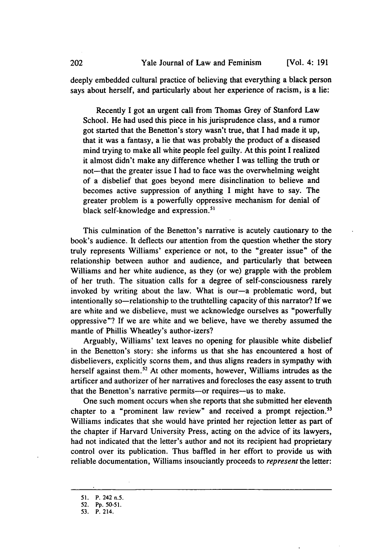deeply embedded cultural practice of believing that everything a black person says about herself, and particularly about her experience of racism, is a lie:

Recently I got an urgent call from Thomas Grey of Stanford Law School. He had used this piece in his jurisprudence class, and a rumor got started that the Benetton's story wasn't true, that I had made it up, that it was a fantasy, a lie that was probably the product of a diseased mind trying to make all white people feel guilty. At this point I realized it almost didn't make any difference whether I was telling the truth or not—that the greater issue I had to face was the overwhelming weight of a disbelief that goes beyond mere disinclination to believe and becomes active suppression of anything I might have to say. The greater problem is a powerfully oppressive mechanism for denial of black self-knowledge and expression.<sup>51</sup>

This culmination of the Benetton's narrative is acutely cautionary to the book's audience. It deflects our attention from the question whether the story truly represents Williams' experience or not, to the "greater issue" of the relationship between author and audience, and particularly that between Williams and her white audience, as they (or we) grapple with the problem of her truth. The situation calls for a degree of self-consciousness rarely invoked by writing about the law. What is our-a problematic word, but intentionally so—relationship to the truthtelling capacity of this narrator? If we are white and we disbelieve, must we acknowledge ourselves as "powerfully oppressive"? If we are white and we believe, have we thereby assumed the mantle of Phillis Wheatley's author-izers?

Arguably, Williams' text leaves no opening for plausible white disbelief in the Benetton's story: she informs us that she has encountered a host of disbelievers, explicitly scorns them, and thus aligns readers in sympathy with herself against them.<sup>52</sup> At other moments, however, Williams intrudes as the artificer and authorizer of her narratives and forecloses the easy assent to truth that the Benetton's narrative permits-or requires--us to make.

One such moment occurs when she reports that she submitted her eleventh chapter to a "prominent law review" and received a prompt rejection.<sup>53</sup> Williams indicates that she would have printed her rejection letter as part of the chapter if Harvard University Press, acting on the advice of its lawyers, had not indicated that the letter's author and not its recipient had proprietary control over its publication. Thus baffled in her effort to provide us with reliable documentation, Williams insouciantly proceeds to *represent* the letter:

51. P. 242 n.5.

<sup>52.</sup> Pp. 50-51.

<sup>53.</sup> P. 214.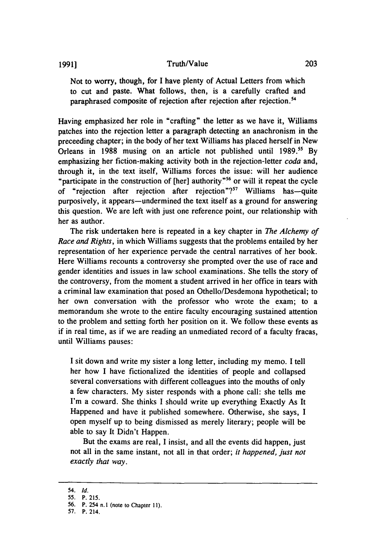#### **1991]** Truth/Value

Not to worry, though, for I have plenty of Actual Letters from which to cut and paste. What follows, then, is a carefully crafted and paraphrased composite of rejection after rejection after rejection.<sup>54</sup>

Having emphasized her role in "crafting" the letter as we have it, Williams patches into the rejection letter a paragraph detecting an anachronism in the preceeding chapter; in the body of her text Williams has placed herself in New Orleans in 1988 musing on an article not published until 1989.<sup>55</sup> By emphasizing her fiction-making activity both in the rejection-letter *coda* and, through it, in the text itself, Williams forces the issue: will her audience "participate in the construction of [her] authority."<sup>56</sup> or will it repeat the cycle of "rejection after rejection after rejection"? $57$  Williams has—quite purposively, it appears—undermined the text itself as a ground for answering this question. We are left with just one reference point, our relationship with her as author.

The risk undertaken here is repeated in a key chapter in *The Alchemy of Race and Rights,* in which Williams suggests that the problems entailed by her representation of her experience pervade the central narratives of her book. Here Williams recounts a controversy she prompted over the use of race and gender identities and issues in law school examinations. She tells the story of the controversy, from the moment a student arrived in her office in tears with a criminal law examination that posed an Othello/Desdemona hypothetical; to her own conversation with the professor who wrote the exam; to a memorandum she wrote to the entire faculty encouraging sustained attention to the problem and setting forth her position on it. We follow these events as if in real time, as if we are reading an unmediated record of a faculty fracas, until Williams pauses:

I sit down and write my sister a long letter, including my memo. I tell her how I have fictionalized the identities of people and collapsed several conversations with different colleagues into the mouths of only a few characters. My sister responds with a phone call: she tells me I'm a coward. She thinks I should write up everything Exactly As It Happened and have it published somewhere. Otherwise, she says, I open myself up to being dismissed as merely literary; people will be able to say It Didn't Happen.

But the exams are real, I insist, and all the events did happen, just not all in the same instant, not all in that order; *it happened, just not exactly that way.*

<sup>54.</sup> *Id.*

<sup>55.</sup> P. 215.

**<sup>56.</sup>** P. 254 **n.I** (note to Chapter 11).

<sup>57.</sup> P. 214.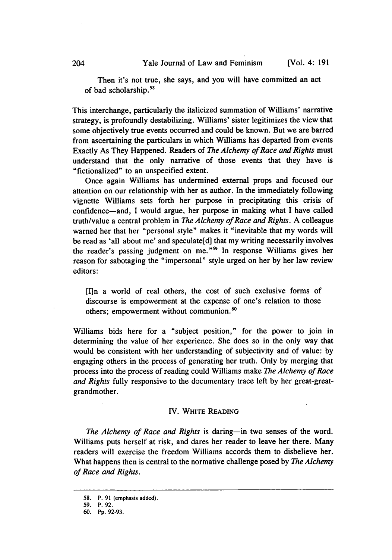Then it's not true, she says, and you will have committed an act of bad scholarship.<sup>58</sup>

This interchange, particularly the italicized summation of Williams' narrative strategy, is profoundly destabilizing. Williams' sister legitimizes the view that some objectively true events occurred and could be known. But we are barred from ascertaining the particulars in which Williams has departed from events Exactly As They Happened. Readers of *The Alchemy of Race and Rights* must understand that the only narrative of those events that they have is "fictionalized" to an unspecified extent.

Once again Williams has undermined external props and focused our attention on our relationship with her as author. In the immediately following vignette Williams sets forth her purpose in precipitating this crisis of confidence-and, I would argue, her purpose in making what I have called truth/value a central problem in *The Alchemy of Race and Rights.* A colleague warned her that her "personal style" makes it "inevitable that my words will be read as 'all about me' and speculate[d] that my writing necessarily involves the reader's passing judgment on me." 59 In response Williams gives her reason for sabotaging the "impersonal" style urged on her by her law review editors:

[I1n a world of real others, the cost of such exclusive forms of discourse is empowerment at the expense of one's relation to those others; empowerment without communion.'

Williams bids here for a "subject position," for the power to join in determining the value of her experience. She does so in the only way that would be consistent with her understanding of subjectivity and of value: by engaging others in the process of generating her truth. Only by merging that process into the process of reading could Williams make *The Alchemy of Race and Rights* fully responsive to the documentary trace left by her great-greatgrandmother.

#### **IV.** WHITE **READING**

*The Alchemy of Race and Rights* is daring—in two senses of the word. Williams puts herself at risk, and dares her reader to leave her there. Many readers will exercise the freedom Williams accords them to disbelieve her. What happens then is central to the normative challenge posed by *The Alchemy of Race and Rights.*

<sup>58.</sup> P. 91 (emphasis added).

<sup>59.</sup> P. 92.

<sup>60.</sup> Pp. 92-93.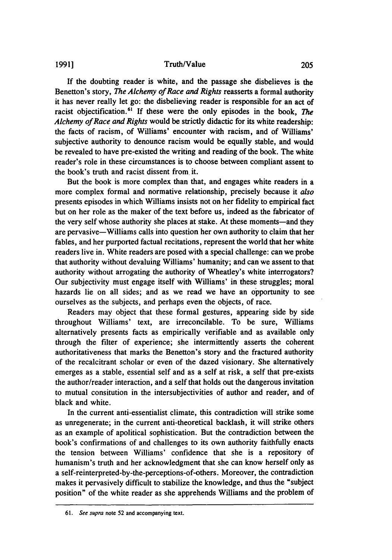#### Truth/Value

**If** the doubting reader is white, and the passage she disbelieves is the Benetton's story, *The Alchemy of Race and Rights* reasserts a formal authority it has never really let go: the disbelieving reader is responsible for an act of racist objectification.<sup>61</sup> If these were the only episodes in the book, *The Alchemy of Race and Rights* would be strictly didactic for its white readership: the facts of racism, of Williams' encounter with racism, and of Williams' subjective authority to denounce racism would be equally stable, and would be revealed to have pre-existed the writing and reading of the book. The white reader's role in these circumstances is to choose between compliant assent to the book's truth and racist dissent from it.

But the book is more complex than that, and engages white readers in a more complex formal and normative relationship, precisely because it *also* presents episodes in which Williams insists not on her fidelity to empirical fact but on her role as the maker of the text before us, indeed as the fabricator of the very self whose authority she places at stake. At these moments—and they are pervasive-Williams calls into question her own authority to claim that her fables, and her purported factual recitations, represent the world that her white readers live in. White readers are posed with a special challenge: can we probe that authority without devaluing Williams' humanity; and can we assent to that authority without arrogating the authority of Wheatley's white interrogators? Our subjectivity must engage itself with Williams' in these struggles; moral hazards lie on all sides; and as we read we have an opportunity to see ourselves as the subjects, and perhaps even the objects, of race.

Readers may object that these formal gestures, appearing side by side throughout Williams' text, are irreconcilable. To be sure, Williams alternatively presents facts as empirically verifiable and as available only through the filter of experience; she intermittently asserts the coherent authoritativeness that marks the Benetton's story and the fractured authority of the recalcitrant scholar or even of the dazed visionary. She alternatively emerges as a stable, essential self and as a self at risk, a self that pre-exists the author/reader interaction, and a self that holds out the dangerous invitation to mutual consitution in the intersubjectivities of author and reader, and of black and white.

In the current anti-essentialist climate, this contradiction will strike some as unregenerate; in the current anti-theoretical backlash, it will strike others as an example of apolitical sophistication. But the contradiction between the book's confirmations of and challenges to its own authority faithfully enacts the tension between Williams' confidence that she is a repository of humanism's truth and her acknowledgment that she can know herself only as a self-reinterpreted-by-the-perceptions-of-others. Moreover, the contradiction makes it pervasively difficult to stabilize the knowledge, and thus the "subject position" of the white reader as she apprehends Williams and the problem of

**1991]**

**<sup>61.</sup>** See supra note 52 and accompanying text.